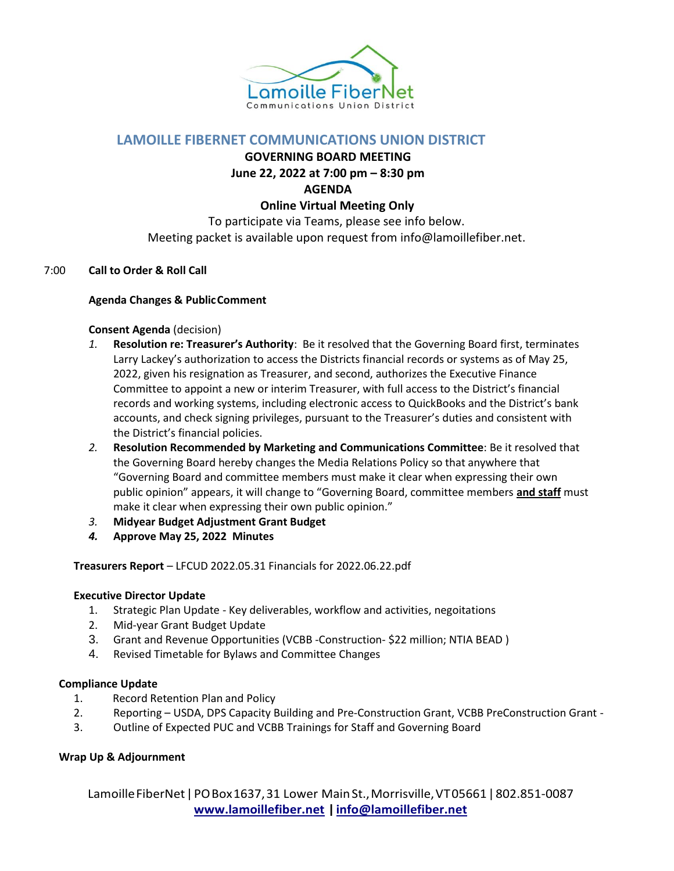

# **LAMOILLE FIBERNET COMMUNICATIONS UNION DISTRICT**

**GOVERNING BOARD MEETING**

**June 22, 2022 at 7:00 pm – 8:30 pm**

**AGENDA**

### **Online Virtual Meeting Only**

To participate via Teams, please see info below. Meeting packet is available upon request from [info@lamoillefiber.net.](mailto:info@lamoillefiber.net?subject=Meeting%20Packet)

#### 7:00 **Call to Order & Roll Call**

#### **Agenda Changes & PublicComment**

## **Consent Agenda** (decision)

- *1.* **Resolution re: Treasurer's Authority**: Be it resolved that the Governing Board first, terminates Larry Lackey's authorization to access the Districts financial records or systems as of May 25, 2022, given his resignation as Treasurer, and second, authorizes the Executive Finance Committee to appoint a new or interim Treasurer, with full access to the District's financial records and working systems, including electronic access to QuickBooks and the District's bank accounts, and check signing privileges, pursuant to the Treasurer's duties and consistent with the District's financial policies.
- *2.* **Resolution Recommended by Marketing and Communications Committee**: Be it resolved that the Governing Board hereby changes the Media Relations Policy so that anywhere that "Governing Board and committee members must make it clear when expressing their own public opinion" appears, it will change to "Governing Board, committee members **and staff** must make it clear when expressing their own public opinion."
- *3.* **Midyear Budget Adjustment Grant Budget**
- *4.* **Approve May 25, 2022 Minutes**

**Treasurers Report** – LFCUD 2022.05.31 Financials for 2022.06.22.pdf

#### **Executive Director Update**

- 1. Strategic Plan Update Key deliverables, workflow and activities, negoitations
- 2. Mid-year Grant Budget Update
- 3. Grant and Revenue Opportunities (VCBB -Construction- \$22 million; NTIA BEAD )
- 4. Revised Timetable for Bylaws and Committee Changes

# **Compliance Update**

- 1. Record Retention Plan and Policy
- 2. Reporting USDA, DPS Capacity Building and Pre-Construction Grant, VCBB PreConstruction Grant -
- 3. Outline of Expected PUC and VCBB Trainings for Staff and Governing Board

# **Wrap Up & Adjournment**

LamoilleFiberNet|POBox1637,31 Lower MainSt.,Morrisville,VT05661|802.851-0087 **[www.lamoillefiber.net](http://www.lamoillefiber.net/) [|info@lamoillefiber.net](mailto:info@lamoillefiber.net)**